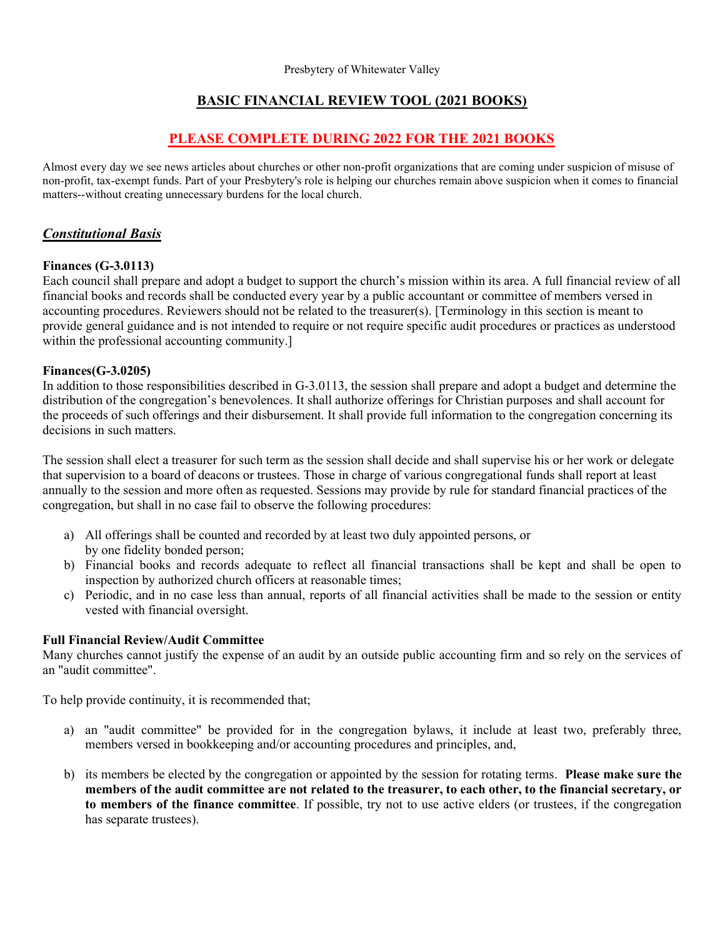## BASIC FINANCIAL REVIEW TOOL (**2021** BOOKS)

## PLEASE COMPLETE DURING 202**2** FOR THE **2021** BOOKS

Almost every day we see news articles about churches or other non-profit organizations that are coming under suspicion of misuse of non-profit, tax-exempt funds. Part of your Presbytery's role is helping our churches remain above suspicion when it comes to financial matters--without creating unnecessary burdens for the local church.

## Constitutional Basis

### Finances (G-3.0113)

Each council shall prepare and adopt a budget to support the church's mission within its area. A full financial review of all financial books and records shall be conducted every year by a public accountant or committee of members versed in accounting procedures. Reviewers should not be related to the treasurer(s). [Terminology in this section is meant to provide general guidance and is not intended to require or not require specific audit procedures or practices as understood within the professional accounting community.]

#### Finances(G-3.0205)

In addition to those responsibilities described in G-3.0113, the session shall prepare and adopt a budget and determine the distribution of the congregation's benevolences. It shall authorize offerings for Christian purposes and shall account for the proceeds of such offerings and their disbursement. It shall provide full information to the congregation concerning its decisions in such matters.

The session shall elect a treasurer for such term as the session shall decide and shall supervise his or her work or delegate that supervision to a board of deacons or trustees. Those in charge of various congregational funds shall report at least annually to the session and more often as requested. Sessions may provide by rule for standard financial practices of the congregation, but shall in no case fail to observe the following procedures:

- a) All offerings shall be counted and recorded by at least two duly appointed persons, or by one fidelity bonded person;
- b) Financial books and records adequate to reflect all financial transactions shall be kept and shall be open to inspection by authorized church officers at reasonable times;
- c) Periodic, and in no case less than annual, reports of all financial activities shall be made to the session or entity vested with financial oversight.

#### Full Financial Review/Audit Committee

Many churches cannot justify the expense of an audit by an outside public accounting firm and so rely on the services of an "audit committee".

To help provide continuity, it is recommended that;

- a) an "audit committee" be provided for in the congregation bylaws, it include at least two, preferably three, members versed in bookkeeping and/or accounting procedures and principles, and,
- b) its members be elected by the congregation or appointed by the session for rotating terms. Please make sure the members of the audit committee are not related to the treasurer, to each other, to the financial secretary, or to members of the finance committee. If possible, try not to use active elders (or trustees, if the congregation has separate trustees).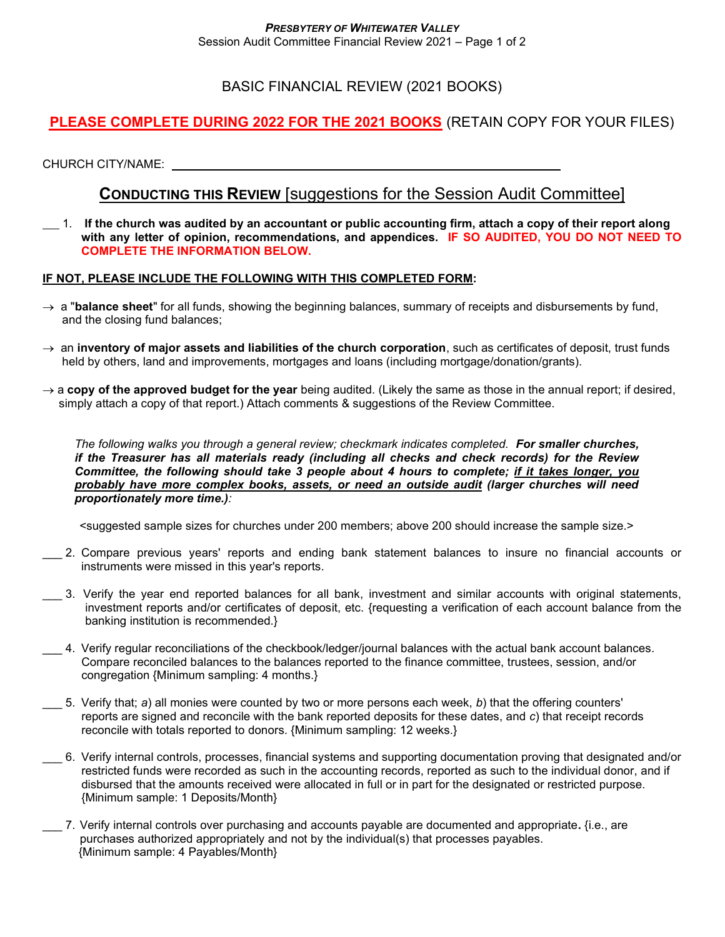## BASIC FINANCIAL REVIEW (2021 BOOKS)

# PLEASE COMPLETE DURING 202**2** FOR THE **2021** BOOKS (RETAIN COPY FOR YOUR FILES)

CHURCH CITY/NAME:

# CONDUCTING THIS REVIEW [suggestions for the Session Audit Committee]

 $1.$  If the church was audited by an accountant or public accounting firm, attach a copy of their report along with any letter of opinion, recommendations, and appendices. IF SO AUDITED, YOU DO NOT NEED TO COMPLETE THE INFORMATION BELOW.

### IF NOT, PLEASE INCLUDE THE FOLLOWING WITH THIS COMPLETED FORM:

- $\rightarrow$  a "balance sheet" for all funds, showing the beginning balances, summary of receipts and disbursements by fund, and the closing fund balances;
- $\rightarrow$  an inventory of major assets and liabilities of the church corporation, such as certificates of deposit, trust funds held by others, land and improvements, mortgages and loans (including mortgage/donation/grants).
- $\rightarrow$  a copy of the approved budget for the year being audited. (Likely the same as those in the annual report; if desired, simply attach a copy of that report.) Attach comments & suggestions of the Review Committee.

The following walks you through a general review; checkmark indicates completed. For smaller churches, if the Treasurer has all materials ready (including all checks and check records) for the Review Committee, the following should take 3 people about 4 hours to complete; if it takes longer, you probably have more complex books, assets, or need an outside audit (larger churches will need proportionately more time.):

<suggested sample sizes for churches under 200 members; above 200 should increase the sample size.>

- \_\_\_ 2. Compare previous years' reports and ending bank statement balances to insure no financial accounts or instruments were missed in this year's reports.
- \_\_\_ 3. Verify the year end reported balances for all bank, investment and similar accounts with original statements, investment reports and/or certificates of deposit, etc. {requesting a verification of each account balance from the banking institution is recommended.}
- $\_$  4. Verify regular reconciliations of the checkbook/ledger/journal balances with the actual bank account balances. Compare reconciled balances to the balances reported to the finance committee, trustees, session, and/or congregation {Minimum sampling: 4 months.}
- \_\_\_ 5. Verify that; a) all monies were counted by two or more persons each week, b) that the offering counters' reports are signed and reconcile with the bank reported deposits for these dates, and c) that receipt records reconcile with totals reported to donors. {Minimum sampling: 12 weeks.}
- \_\_\_ 6. Verify internal controls, processes, financial systems and supporting documentation proving that designated and/or restricted funds were recorded as such in the accounting records, reported as such to the individual donor, and if disbursed that the amounts received were allocated in full or in part for the designated or restricted purpose. {Minimum sample: 1 Deposits/Month}
- $\_$  7. Verify internal controls over purchasing and accounts payable are documented and appropriate. {i.e., are purchases authorized appropriately and not by the individual(s) that processes payables. {Minimum sample: 4 Payables/Month}